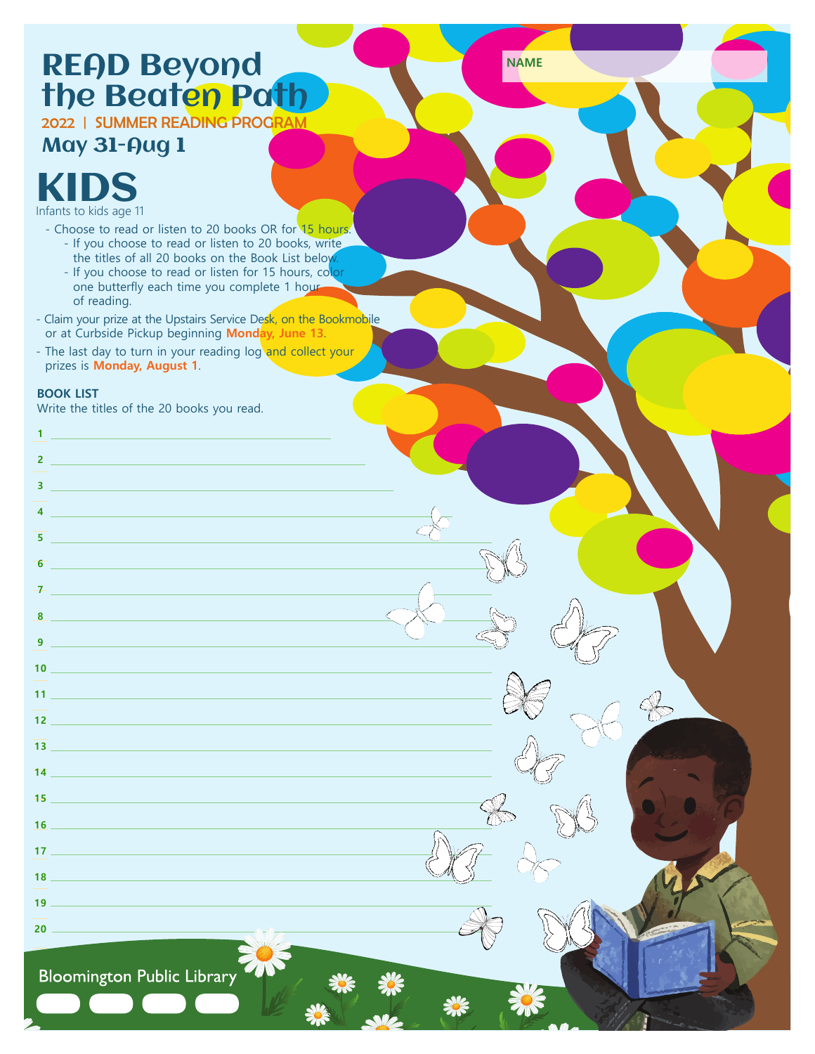# READ Beyond **NAME** the Beat<mark>en Path</mark>

2022 | SUMMER REA<mark>DING PROGRAM</mark>

## May 31-Aug 1



- Choose to read or listen to 20 books OR for 15 hours.

- If you choose to read or listen to 20 books, write
- the titles of all 20 books on the Book List below
- If you choose to read or listen for 15 hours, color one butterfly each time you complete 1 hour of reading.
- Claim your prize at the Upstairs Service Desk, on the Bookmobile or at Curbside Pickup beginning **Monday, June 13**.
- The last day to turn in your reading log and collect your prizes is **Monday, August 1**.

#### **BOOK LIST**

**1 2**

Write the titles of the 20 books you read.

### **3 4 5 6 7 8 9 10 11 12 13 14 15 16 17 18 19 20**

**Bloomington Public Library**